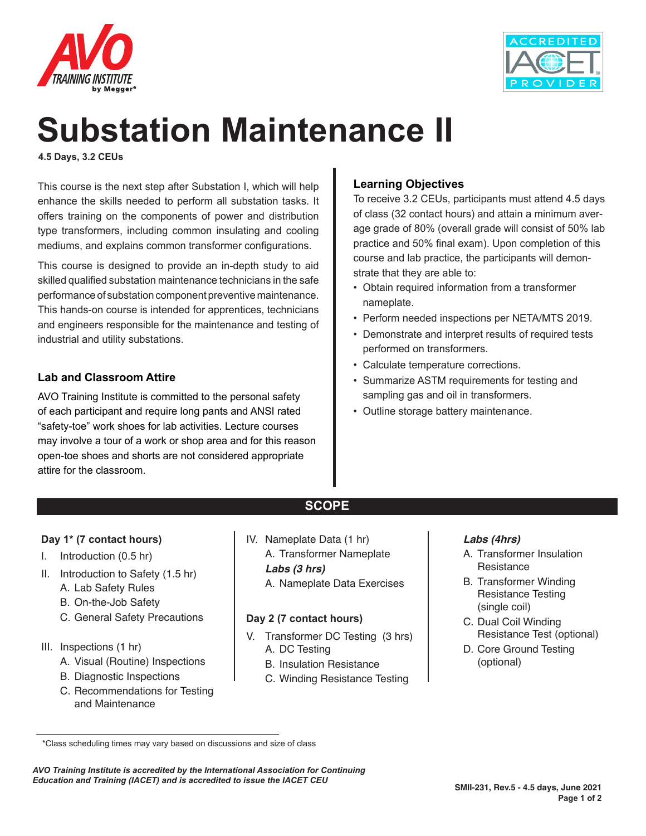



# **Substation Maintenance II**

**4.5 Days, 3.2 CEUs**

This course is the next step after Substation I, which will help enhance the skills needed to perform all substation tasks. It offers training on the components of power and distribution type transformers, including common insulating and cooling mediums, and explains common transformer configurations.

This course is designed to provide an in-depth study to aid skilled qualified substation maintenance technicians in the safe performance of substation component preventive maintenance. This hands-on course is intended for apprentices, technicians and engineers responsible for the maintenance and testing of industrial and utility substations.

## **Lab and Classroom Attire**

AVO Training Institute is committed to the personal safety of each participant and require long pants and ANSI rated "safety-toe" work shoes for lab activities. Lecture courses may involve a tour of a work or shop area and for this reason open-toe shoes and shorts are not considered appropriate attire for the classroom.

# **Learning Objectives**

To receive 3.2 CEUs, participants must attend 4.5 days of class (32 contact hours) and attain a minimum average grade of 80% (overall grade will consist of 50% lab practice and 50% final exam). Upon completion of this course and lab practice, the participants will demonstrate that they are able to:

- Obtain required information from a transformer nameplate.
- Perform needed inspections per NETA/MTS 2019.
- Demonstrate and interpret results of required tests performed on transformers.
- Calculate temperature corrections.
- Summarize ASTM requirements for testing and sampling gas and oil in transformers.
- Outline storage battery maintenance.

#### **Day 1\* (7 contact hours)**

- I. Introduction (0.5 hr)
- II. Introduction to Safety (1.5 hr) A. Lab Safety Rules
	- B. On-the-Job Safety
	- C. General Safety Precautions
- III. Inspections (1 hr)
	- A. Visual (Routine) Inspections
	- B. Diagnostic Inspections
	- C. Recommendations for Testing and Maintenance

IV. Nameplate Data (1 hr) A. Transformer Nameplate *Labs (3 hrs)* A. Nameplate Data Exercises

**SCOPE**

#### **Day 2 (7 contact hours)**

- V. Transformer DC Testing (3 hrs) A. DC Testing
	- B. Insulation Resistance
	- C. Winding Resistance Testing

#### *Labs (4hrs)*

- A. Transformer Insulation Resistance
- B. Transformer Winding Resistance Testing (single coil)
- C. Dual Coil Winding Resistance Test (optional)
- D. Core Ground Testing (optional)

*AVO Training Institute is accredited by the International Association for Continuing Education and Training (IACET) and is accredited to issue the IACET CEU*

 <sup>\*</sup>Class scheduling times may vary based on discussions and size of class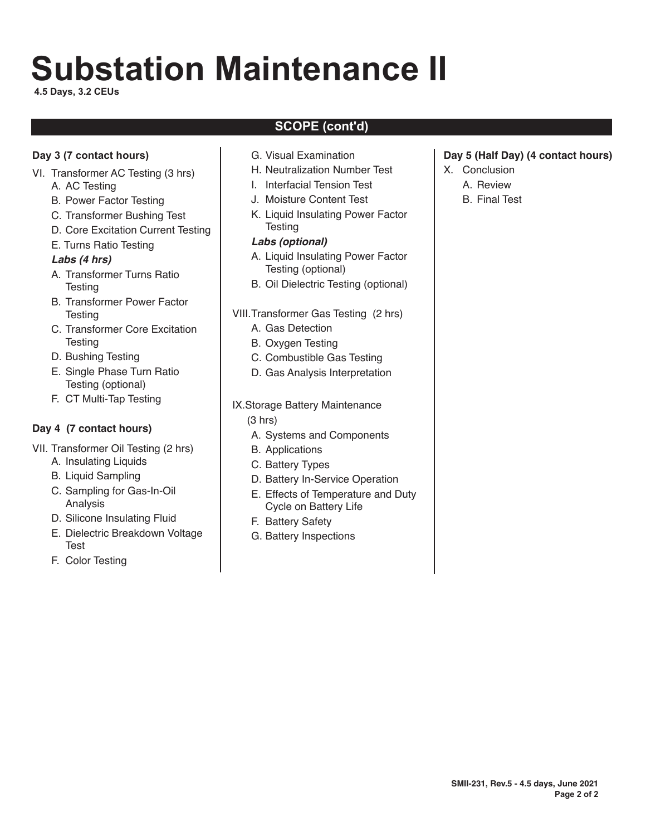# **Substation Maintenance II**

**4.5 Days, 3.2 CEUs**

# **SCOPE (cont'd)**

### **Day 3 (7 contact hours)**

- VI. Transformer AC Testing (3 hrs) A. AC Testing
	- B. Power Factor Testing
	- C. Transformer Bushing Test
	- D. Core Excitation Current Testing
	- E. Turns Ratio Testing

#### *Labs (4 hrs)*

- A. Transformer Turns Ratio **Testing**
- B. Transformer Power Factor **Testing**
- C. Transformer Core Excitation **Testing**
- D. Bushing Testing
- E. Single Phase Turn Ratio Testing (optional)
- F. CT Multi-Tap Testing

## **Day 4 (7 contact hours)**

- VII. Transformer Oil Testing (2 hrs)
	- A. Insulating Liquids
	- B. Liquid Sampling
	- C. Sampling for Gas-In-Oil Analysis
	- D. Silicone Insulating Fluid
	- E. Dielectric Breakdown Voltage **Test**
	- F. Color Testing
- G. Visual Examination
- H. Neutralization Number Test
- I. Interfacial Tension Test
- J. Moisture Content Test
- K. Liquid Insulating Power Factor **Testing**

#### *Labs (optional)*

- A. Liquid Insulating Power Factor Testing (optional)
- B. Oil Dielectric Testing (optional)
- VIII.Transformer Gas Testing (2 hrs)
	- A. Gas Detection
	- B. Oxygen Testing
	- C. Combustible Gas Testing
	- D. Gas Analysis Interpretation
- IX.Storage Battery Maintenance (3 hrs)
	- A. Systems and Components
	- B. Applications
	- C. Battery Types
	- D. Battery In-Service Operation
	- E. Effects of Temperature and Duty Cycle on Battery Life
	- F. Battery Safety
	- G. Battery Inspections

#### **Day 5 (Half Day) (4 contact hours)**

- X. Conclusion
	- A. Review
	- B. Final Test